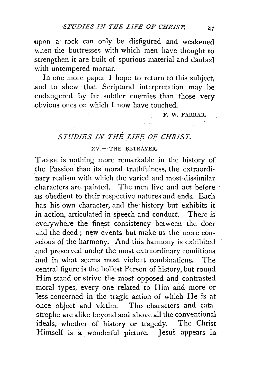upon a rock can only be disfigured and weakened when the buttresses with which men have thought to strengthen it are built of spurious material and daubed with untempered mortar.

In one more paper I hope to return to this subject, and to shew that Scriptural interpretation may be endangered by far subtler enemies than those very obvious ones on which I now have touched.

F. W. FARRAR.

## *STUDIES IN THE LIFE OF CHRIST.*

XV.-THE BETRAYER.

THERE is nothing more remarkable in the history of the Passion than its moral truthfulness, the extraordinary realism with which the varied and most dissimilar characters are painted. The men live and act before .us obedient to their respective natures and ends. Each has his own character, and the history but exhibits it in action, articulated in speech and conduct. There is everywhere the finest consistency between the doer and the deed ; new events but make us the more conscious of the harmony. And this harmony is exhibited .and preserved under the most extraordinary conditions and in what seems most violent combinations. The central figure is the holiest Person of history, but round Him stand or strive the most opposed and contrasted moral types, every one related to Him and more or less concerned in the tragic action of which He is at -once object and victim. The characters and catastrophe are alike beyond and above all the conventional ideals, whether of history or tragedy. The Christ Himself is a wonderful picture. Jesus appears in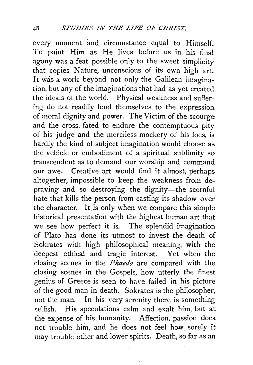every moment and circumstance equal to Himself. To paint Him as He lives before us in his final agony was a feat possible only to the sweet simplicity that copies Nature, unconscious of its own high art. It was a work beyond not only the Galilean imagination, but any of the imaginations that had as yet created the ideals of the world. Physical weakness and suffering do not readily lend themselves to the expression of moral dignity and power. The Victim of the scourge and the cross, fated to endure the contemptuous pity of his judge and the merciless mockery of his foes, is hardly the kind of subject imagination would choose as the vehicle or embodiment of a spiritual sublimity so transcendent as to demand our worship and command our awe. Creative art would find it almost, perhaps altogether, impossible to keep the weakness from depraving and so destroying the dignity-the scornful hate. that kills the person from casting its shadow over the character. It is only when we compare this simple historical presentation with the highest human art that we see how perfect it is. The splendid imagination of Plato has done its utmost to invest the death of Sokrates with high philosophical meaning, with the deepest ethical and tragic interest. Yet when the dosing scenes in the *Phaedo* are compared with the closing scenes in the Gospels, how utterly the finest genius of Greece is seen to have failed in his picture of the good man in death. Sokrates is the philosopher, not the man. In his very serenity there is something selfish. His speculations calm and exalt him, but at the expense of his humanity. Affection, passion does not trouble him, and he does not feel how, sorely it may trouble other and lower spirits. Death, so far as an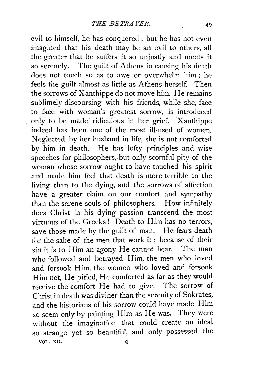evil to himself, he has conquered; but he· has not even imagined that his death may be an evil to others, all the greater that he suffers it so unjustly and meets it so serenely. The guilt of Athens in causing his death does not touch so as to awe or overwhelm him ; he feels the guilt almost as little as Athens herself. Then the sorrows of Xanthippe do not move him. He remains sublimely discoursing with his friends, while she, face to face with woman's greatest sorrow, is introduced only to be made· ridiculous in her grief. Xanthippe indeed has been one of the most ill-used of women. Neglected by her husband in life, she is not comforted by him in death. He has lofty principles and wise speeches for philosophers, but only scornful pity of the woman whose sorrow ought to have touched his spirit and made him feel that death is more terrible to the living than to the dying, and the sorrows of affection have a greater claim on our comfort and sympathy than the serene souls of philosophers. How infinitely does Christ in his dying passion transcend the most virtuous of the Greeks ! Death to Him has no terrors, save those made by the guilt of man. He fears death for the sake of the men that work it ; because of their sin it is to Him an agony He cannot bear. The man who followed and betrayed Him, the men who loved and forsook Him, the women who loved and forsook Him not, He pitied, He comforted as far as they would receive the comfort He had to give. The sorrow of Christ in death was diviner than the serenity of Sokrates, and the historians of his sorrow could have made Him so seem only by painting Him as He was. They were without the imagination that could create an ideal so strange yet so beautiful, and only possessed the VOL. XII. 4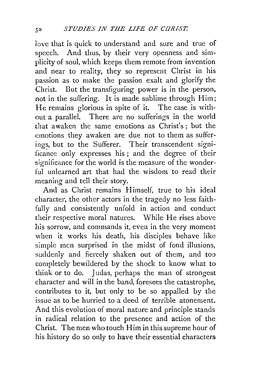love that is quick to understand and sure and true of speech. And thus, by their very openness and simplicity of soul, which keeps them remote from invention and near to reality, they so represent Christ in his passion as to make the passion exalt and glorify the Christ. But the transfiguring power is in the person. not in the suffering. It is made sublime through Him; He remains glorious in spite of it. The case is without a parallel. There are no sufferings in the world that awaken the same emotions as Christ's; but the emotions they awaken are due not to them as sufferings, but to the Sufferer. Their transcendent significance only expresses his; and the degree of their significance for the world is the measure of the wonder ful unlearned art that had the wisdom to read their meaning and tell their story.

And as Christ remains Himself, true to his ideal character, the other actors in the tragedy no less faithfully and consistently unfold in action and conduct their respective moral natures. While He rises above his sorrow, and commands it, even in the very momerit when it works his death, his disciples behave like simple men surprised in the midst of fond illusions, suddenly and fiercely shaken out of them, and *too*  completely bewildered by the shock to know what to think or to do. Judas, perhaps the man of strongest character and will in the band, foresees the catastrophe. contributes to it, but only to be so appalled by the issue as to be hurried to a deed of terrible atonement. And this evolution of moral nature and principle stands in radical relation to the presence and action of the Christ. The men who touch Him in this supreme hour of his history do so only to have their essential characters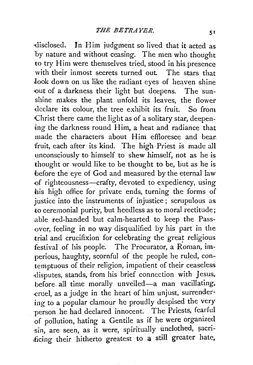-disclosed. In Him judgment so lived that it acted as by nature and without ceasing. The men who thought to try Him were themselves tried, stood in his presence with their inmost secrets turned out. The stars that Jook down on us like the radiant eyes of heaven shine out of a darkness their light but deepens. The sunshine makes the plant unfold its leaves, the flower declare its colour, the tree exhibit its fruit. So from Christ there came the light as of a solitary star, deepen*ing* the darkness round Him, a heat and radiance that made the characters about Him effloresce and bear. fruit, each after its kind. The high Priest is made all unconsciously to himself to shew himself, not as he is thought or would like to be thought to be, but as he is before the eye of God and measured by the eternal law -of righteousness-crafty, devoted to expediency, using his high office for private ends, turning the forms of justice into the instruments of injustice; scrupulous as to ceremonial purity, but heedless as to moral rectitude; :able red-handed but calm-hearted to keep the Passover, feeling in no way disqualified by his part in the trial and crucifixion for celebrating the great religious festival of his people. The Procurator, a Roman, imperious, haughty, scornful of the people he ruled, contemptuous of their religion, impatient of their ceaseless ·disputes, stands, from his brief connection with Jesus, before all time morally unveiled-a man vacillating, -cruel, as a judge in the heart of him unjust, surrendering to a popular clamour he proudly despised the very person he had declared innocent. The Priests, fearful of pollution, hating a Gentile as if he were organized sin, are seen, as it were, spiritually unclothed, sacrificing their hitherto greatest to a still greater hate,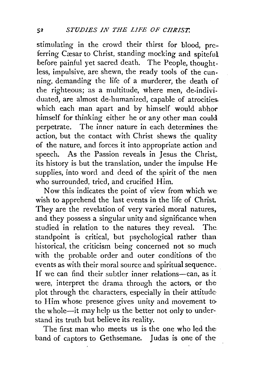stimulating in the crowd their thirst for blood, preferring Cæsar to Christ, standing mocking and spiteful. before painful yet sacred death. The People, thoughtless, impulsive, are shewn, the ready tools of the cunning, demanding the life of a murderer, the death of the righteous; as a multitude, where men, de-individuated, are almost de-humanized, capable of atrocities. which each man apart and by himself would abhor himself for thinking either he or any other man could perpetrate. The inner nature in each determines the action, but the contact with Christ shews the quality of the nature, and forces it into appropriate action and speech. As the Passion reveals in Jesus the Christ,. its history is but the translation, under the impulse He· supplies, into word and deed of the spirit of the men who surrounded, tried, and crucified Him.

Now this indicates the point of view from which we wish to apprehend the last events in the life of Christ. They are the revelation of very varied moral natures, and they possess a singular unity and significance when studied in relation to the natures they reveal. The. standpoint is critical, but psychological rather than historical, the criticism being concerned not so much with the probable order and outer conditions of the events as with their moral source and spiritual sequence .. If we can find their subtler inner relations-can, as it. were, interpret the drama through the actors, or the plot through the. characters, especially in their attitude· to Him whose presence gives unity and movement to· the whole-it may help us the better not only to understand its truth but believe its reality.

The first man who meets us is the one who led the band of captors to Gethsemane. Judas is one of the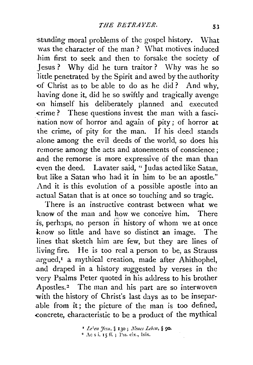standing moral problems of the gospel history. What was the character of the man? What motives induced him first to seek and then to forsake the society of Jesus ? Why did he turn traitor ? Why was he so little penetrated by the Spirit and awed by the authority of Christ as to be able to do as he did? And why, having done it, did he so swiftly and tragically avenge on himself his deliberately planned and executed crime ? These questions invest the man with a fascination now of horror and again of pity ; of horror at the crime, of pity for the man. If his deed stands alone among the evil deeds of the world, so does his remorse among the acts and atonements of conscience ; .and the remorse is more expressive of the man than even the deed. Lavater said, "Judas acted like Satan, but like a Satan who had it in him to be an apostle." And it is this evolution of a possible apostle into an .actual Satan that is at once so touching and so tragic.

There is an instructive contrast between what we l:now of the man and how we conceive him. There is, perhaps, no person in history of whom we at once know so little and have so distinct an image. The lines that sketch him are few, but they are lines of living fire. He is too real a person to be, as Strauss argued,<sup>1</sup> a mythical creation, made after Ahithophel, .and draped in a history suggested by verses in the very Psalms Peter quoted in his address to his brother Apostles.<sup>2</sup> The man and his part are so interwoven with the history of Christ's last days as to be insepar- .able from it; the picture of the man is too defined, concrete, characteristic to be a product of the mythical

> <sup>1</sup>*Le'·m :Jcsu,* § 130; *J{eucs Lcbm,* § 90.  $*$  Ac s i. 15 ff.; Pss. cix., lxix.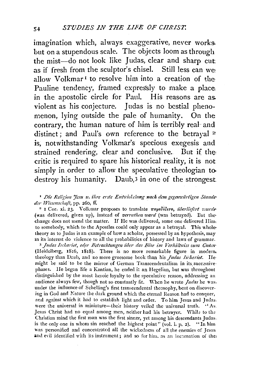imagination which, always exaggerative, never works. but on a stupendous scale. The objects loom as through the mist-do not look like Judas, clear and sharp cut. as if fresh from the sculptor's chisel. Still less can we: allow Volkmar<sup>1</sup> to resolve him into a creation of the-Pauline tendency, framed expressly to make a place: in the apostolic circle for Paul. His reasons are as. violent as his conjecture. Judas is no bestial phenomenon, lying outside the pale of humanity. On the contrary, the human nature of him is terribly real- and distinct; and Paul's own reference to the betrayal  $x$ is, notwithstanding Volkmar's specious exegesis and strained rendering, clear and conclusive. But if the critic is required to spare his historical reality, it is not simply in order to allow the speculative theologian to destroy his humanity. Daub, $3$  in one of the strongest.

<sup>1</sup> Die Religion Jesu u. ihre erste Entwickelung nach dem gegenwärtigen Standeder *Wissenschaft*, pp. 260, ff.

<sup>2</sup> I Cor. xi. 23. Volkmar proposes to translate *rapeoidero, iiberliefert wurde*-(was delivered, given up), instead of *verrathen ward* (was betrayed). But thechange does not mend the matter. If He was delivered, some one delivered Him. to somebody, which to the Apostles could only appear as a betrayal. This wholetheory as to Judas is an example of how a scholar, possessed by an hypothesis, may in its interest do violence to all the probabilities of history and laws of grammar.

<sup>3</sup> Judas Ischariot, oder Betrachtungen über das Böse im Verhältniss zum Guten-(Heidelberg, 1816, 1818). There is no more remarkable figure in modern. theology than Daub, and no more gruesome book than his *Judas Ischariot*. IIemight be said to be the mirror of German Transcendentalism in its successive phases. He began life a Kantian, he ended it an Hegelian, but was throughout distinguished by the most heroic loyalty to the speculative reason, addressing an audience always few, though not so constantly fit. When he wrote *Judas* he was. under the influence of Schelling's first transcendental theosophy, bent on discovering in God and Nature the dark ground which the eternal Reason had to conquer, and ngainst which it had to establish light and order. To him Jesus and Judas. were the universal in miniature-their history veiled the universal truth. "As. Jesus Christ had no equal among men, neither had his betrayer. While to the Christian mind the first man was the first sinner, yet among his descendants Judas. is the only one in whom sin reached the highest point" (vol. i. p. 2). "In him was personified and concentrated all the wickedness of all the enemies of Jesus and evil identified with its instrument; and so for him, as an incarnation of the: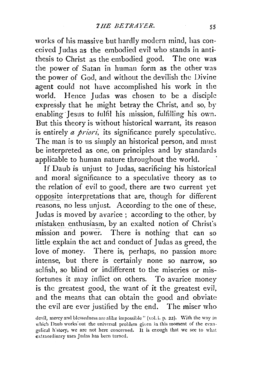works of his massive but hardly modern mind, has conceived Judas as the embodied evil who stands in antithesis to Christ as the embodied good. The one was the power of Satan in human form as the other was the power of God, and without the devilish the Divine agent could not have accomplished his work in the world. Hence Judas was chosen to be a disciple expressly that he might betray the Christ, and so, by enabling Jesus to fulfil his mission, fulfilling his own. But this theory is without historical warrant, its reason is entirely *a priori*, its significance purely speculative. The man is to us simply an historical person, and must be interpreted as one, on principles and by standards applicable to human nature throughout the world.

If Daub is unjust to Judas, sacrificing his historical and moral significance to a speculative theory as to the relation of evil to good, there are two current yet opposite interpretations that are, though for different reasons, no less unjust. According to the one of these, Judas is moved by avarice; according to the other, by mistaken enthusiasm, by an exalted notion of Christ's mission and power. There is nothing that can so little explain the act and conduct of Judas as greed, the love of money. There is, perhaps, no passion more intense, but there is certainly none so narrow, so selfish, so blind or indifferent to the miseries or misfortunes it may inflict on others. To avarice money is the greatest good, the want of it the greatest evil, and the means that can obtain the good and obviate the evil are ever justified by the end. The miser who

devil, mercy and blessedness are alike impossible " (vol. i. p. 22). With the way in which Daub works out the universal problem given in this moment of the evangelical history, we are not here concerned. It is er.ough that we see to what extraordinary uses Judas has been turned.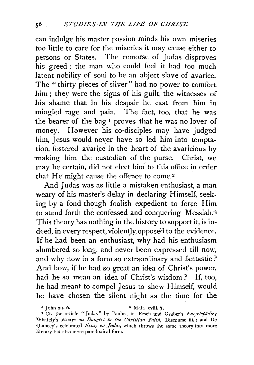can indulge his master passion minds his own miseries too little to care for the miseries it may cause either to persons or States. The remorse of Judas disproves his greed; the man who could feel it had too much latent nobility of soul to be an abject slave of avarice. The "thirty pieces of silver" had no power to comfort him; they were the signs of his guilt, the witnesses of his shame that in his despair he cast from him in mingled rage and pain. The fact, too, that he was the bearer of the bag 1 proves that he was no lover of money. However his eo-disciples may have judged him, Jesus would never have so led him into temptation, fostered avarice in the heart of the avaricious by ·making him the custodian of the purse. Christ, we may be certain, did not elect him to this office in order that He might cause the offence to come.<sup>2</sup>

And Judas was as little a mistaken enthusiast, a man weary of his master's delay in declaring Himself, seeking by a fond though foolish expedient to force Him to stand forth the confessed and conquering Messiah.3 This theory has nothing in the history to support it, is indeed, in every respect, violently, opposed to the evidence. If he had been an enthusiast, why had his enthusiasm slumbered so long, and never been expressed till now, and why now in a form so extraordinary and fantastic? And how, if he had so great an idea of Christ's power, had he so mean an idea of Christ's wisdom ? If, too, he had meant to compel Jesus to shew Himself, would he have chosen the silent night as the time for the

*<sup>•</sup>* John xii. 6. 2 Matt. xviii. 7.

<sup>&</sup>lt;sup>3</sup> Cf. the article "Judas" by Paulus, in Ersch und Gruber's *Encyclopädie*; Whately's *Essays on Dangers to the Christian Faith*, Discourse iii.; and De Quincey's celebrated *Essay on Judas*, which throws the same theory into more literary but also more paradoxical form.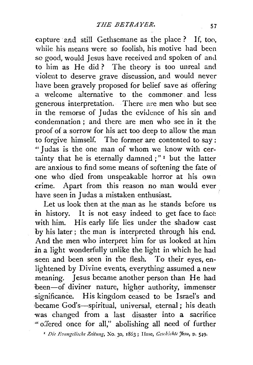capture ·2nd still Gethscmane as the place ? If, too, while his means were so foolish, his motive had been so good, would Jesus have received and spoken of and to him as He did? The theory is too unreal and violent to deserve grave discussion, and would never have been gravely proposed for belief save as offering .a welcome alternative to the commoner and less generous interpretation. There are men who but see in the remorse of Judas the evidence of his sin and condemnation ; and there are men who see in it the proof of a sorrow for his act too deep to allow the man to forgive himself. The former are contented to say: •• Judas is the one man of whom we know with certainty that he is eternally damned;" 1 but the latter are anxious to find some means of softening the fate of -one who died from unspeakable horror at his own crime. Apart from this reason no man would ever have seen in Judas a mistaken enthusiast.

Let us look then at the man as he stands before us in history. It is not easy indeed to get face to face with him. His early life lies under the shadow cast by his later ; the man is interpreted through his end. And the men who interpret him for us looked at him in a light wonderfully unlike the light in which he had seen and been seen in the flesh. To their eyes, enlightened by Divine events, everything assumed a new meaning. Jesus became another person than He had been-of diviner nature, higher authority, immenser ·significance. His kingdom ceased to be Israel's and became God's-spiritual, universal, eternal; his death was changed from a last disaster into a sacrifice ' oJered once for all," abolishing all need of further

<sup>1</sup> Die Evangelische Zeitung, No. 30, 1863; Hase, *Geschichte Jesu*, p. 549.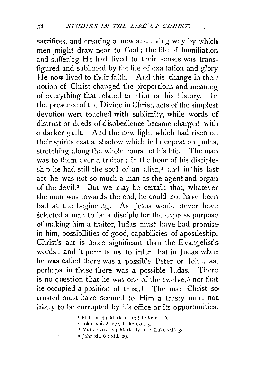sacrifices, and creating a new and living way by which men might draw near to God; the life of humiliation and suffering He had lived to their senses was transfigured and sublimed by the life of exaltation and glory lie now lived to their faith. And this change in their notion of Christ changed the proportions and meaning of everything that related to Him or his history. In the presence of the Divine in Christ, acts of the simplest devotion were touched with sublimity, while words of distrust or deeds of disobedience became charged with a darker guilt. And the new light which had risen on their spirits cast a shadow which fell deepest on Judas, stretching along the whole course of his life. The man was to them ever a traitor; in the hour of his discipleship he had still the soul of an alien,<sup>I</sup> and in his last act he was not so much a man as the agent and organ of the devil.<sup>2</sup> But we may be certain that, whatever the man was towards the end, he could not have been bad at the beginning. As Jesus would never have selected a man to be a disciple for the express purpose of making him a traitor, Judas must have had promise: in him, possibilities of good, capabilities of apostleship. Christ's act is more significant than the Evangelist's. words ; and it permits us to infer that in Judas when he was called there was a possible Peter or John, as,. perhaps, in these there was a possible Judas. There is no question that he was one of the twelve,3 nor that he occupied a position of trust.4 The man Christ sotrusted must have seemed to Him a trusty man, not. likely to be corrupted by his office or its opportunities.

- <sup>3</sup> Matt. xxvi. 14; Mark xiv. 10; Luke xxii. 3.
- 4 John xii. 6 ; xiii. 29.

<sup>&</sup>lt;sup>r</sup> Matt. x. 4; Mark iii. 19; Luke vi. 16. <sup>2</sup> John xiii. 2, 27; Luke xxii. 3.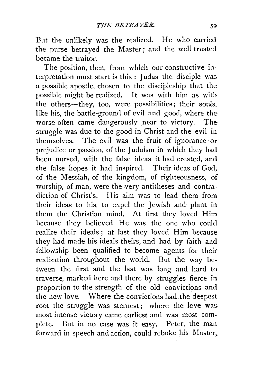But the unlikely was the realized. He who carried the purse betrayed the Master; and the well trusted became the traitor.

The position, then, from which our constructive interpretation must start is this : Judas the disciple was a possible apostle, chosen to the discipleship that the possible might be realized. It was with him as with the others-they, too, were possibilities; their souls, like his, the battle-ground of evil and good, where the: worse often came dangerously near to victory. The struggle was due to the good in Christ and the evil in themselves. The evil was the fruit of ignorance· or prejudice or passion, of the J udaism in which they had been nursed, with the false ideas it had created, and the false hopes it had inspired. Their ideas of God, of the Messiah, of the kingdom, of righteousness, of worship, of man, were the very antitheses and contradiction of Christ's. His aim was to lead them from their ideas to his, to expel the Jewish and plant in them the Christian mind. At first they loved Him because they believed He was the one who could realize their ideals ; at last they loved Him because they had made his ideals theirs, and had by faith and fellowship been qualified to become agents for their realization throughout the world. But the way between the first and the last was long and hard to traverse, marked here and there by struggles fierce in proportion to the strength of the old convictions and the new love. Where the convictions had. the deepest root the struggle was sternest; where the love was most intense victory came earliest and was most complete. But in no case was it easy. Peter, the man forward in speech and action, could rebuke his Master,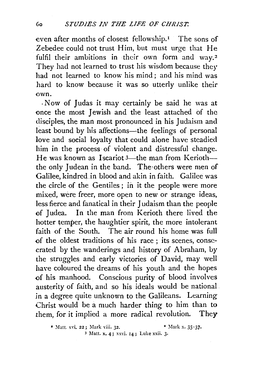even after months of closest fellowship.<sup>1</sup> The sons of Zebedee could not trust Him, but must urge that He fulfil their ambitions in their own form and way.<sup>2</sup> They had not learned to trust his wisdom because they had not learned to know his mind ; and his mind was hard to know because it was so utterly unlike their own.

. Now of Judas it may certainly be said he was at once the most Jewish and the least attached of the disciples, the man most pronounced in his Judaism and least bound by his affections—the feelings of personal love and social loyalty that could alone have steadied him in the process of violent and distressful change. He was known as Iscariot  $3$ —the man from Kerioth the only Judean in the band. The others were men of Galilee, kindred .in blood and akin in faith. Galilee was the circle of the Gentiles ; in it the people were more mixed, were freer, more open to new or strange ideas, less fierce and fanatical in their Judaism than the people of Judea. In the man from Kerioth there lived the hotter temper, the haughtier spirit, the more intolerant faith of the South. The air round his home was full of the oldest traditions of his race ; its scenes, consecrated by the wanderings and history of Abraham, by the struggles and early victories of David, may well have coloured the dreams of his youth and the hopes of his manhood. Conscious purity of blood involves austerity of faith, and so his ideals would be national in a degree quite unknown to the Galileans. Learning Christ would be a much harder thing to him than to them, for it implied a more radical revolution. They

<sup>•</sup> Matt. xvi. 22; Mark viii. 32. • • \* Mark x. 35-37. 3 Matt. x. 4; xxvi. 14 ; Luke xxii. 3·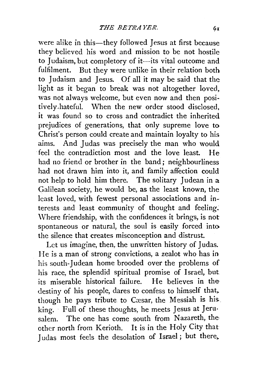were alike in this-they followed Jesus at first because they believed his word and mission to be not hostile to Judaism, but completory of it--its vital outcome and fulfilment. But they were unlike in their relation both to Judaism and Jesus. Of all it may be said that the light as it began to break was not altogether loved. was not always welcome, but even now and then positively .hateful. When the new order stood disclosed, it was found so to cross and contradict the inherited prejudices of generations, that only supreme love to Christ's person could create and maintain loyalty to his aims. And Judas was precisely the man who would feel the contradiction most and the love least. He had no friend or brother in the band; neighbourliness had not drawn him into it, and family affection could not help to hold him there. The solitary Judean in  $a$ Galilean society, he would be, as the least known, the least loved, with fewest personal associations and interests and least community of thought and feeling. \Vhere friendship, with the confidences it brings, is not spontaneous or natural, the soul is easily forced into the silence that creates misconception and distrust.

Let us imagine, then, the unwritten history of Judas. He is a man of strong convictions, a zealot who has in his south-Judean home brooded over the problems of his race, the splendid spiritual promise of Israel, but its miserable historical failure. He believes in the destiny of his people, dares to confess to himself that, though he pays tribute to Cæsar, the Messiah is his. king. Full of these thoughts, he meets Jesus at Jeru· salem. The one has come south from Nazareth, the other north from Kerioth. It is in the Holy City that Judas most feels the desolation of Israel; but there,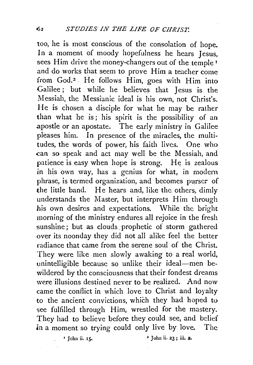too, he is most conscious of the consolation of hope. In a moment of moody hopefulness he hears Jesus, sees Him drive the money-changers out of the temple  $r$ and do works that seem to prove Him a teacher come from God.<sup>2</sup> . He follows Him, goes with Him into Galilee; but while he believes that Jesus is the Messiah, the Messianic ideal is his own, not Christ's. He is chosen a disciple for what he may be rather than what he is; his spirit is the possibility of an .apostle or an apostate. The early ministry in Galilee pleases him. In presence of the miracles, the multitudes, the words of power, his faith lives. One who .can so speak and act may well be the Messiah, and patience is easy when hope is strong. He is zealous in his own way, has a genius for what, in modern phrase, is termed organization, and becomes purser of the little band. He hears and, like the others, dimly understands the Master, but interprets Him through his own desires and expectations. While the bright morning of the ministry endures all rejoice in the fresh sunshine; but as clouds prophetic of storm gathered over its noonday they did not all alike feel the better radiance that came from the serene soul of the Christ. They were like men slowly awaking to a real world, unintelligible because so unlike their ideal--men bewildered by the consciousness that their fondest dreams were illusions destined never to be realized. And now came the conflict in which love to Christ and loyalty to the ancient convictions, which they had hoped to see fulfilled through Him, wrestled for the mastery. They had to believe before they could see, and belief in a moment so trying could only live by love. The

1 John ii. rs. • John ii. 23 ; iii. 2.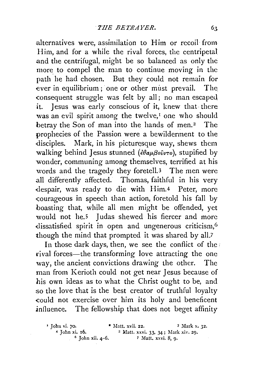alternatives were, assimilation to Him or recoil from Him, and for a while the rival forces, the centripetal and the centrifugal, might be so balanced as only the more to compel the man to continue moving in the path he had chosen. But they could not remain for ever in equilibrium; one or other must prevail. The -consequent struggle was felt by all; no man escaped it. Jesus was early conscious of it, knew that· there was an evil spirit among the twelve,<sup>I</sup> one who should betray the Son of man into the hands of men.<sup>2</sup> The prophecies of the Passion were a bewilderment to the disciples. Mark, in his picturesque way, shews them walking behind Jesus stunned (εθαμβούντο), stupified by wonder, communing among themselves, terrified at his words and the tragedy they foretell.3 The men were all differently affected. Thomas, faithful in his very .despair, was ready to die with Him.4 Peter, more ~ourageous in speech than action, foretold his fall by boasting that, while all men might be offended, yet would not he.5 Judas shewed his fiercer and more dissatisfied spirit in open and ungenerous criticism,<sup>6</sup> though the mind that prompted it was shared by all.7

In those dark days, then, we see the conflict of the rival forces—the transforming love attracting the one way, the ancient convictions drawing the other. The man from Kerioth could not get near Jesus because of his own ideas as to what the Christ ought to be, and *:so* the love that is the best creator of truthful loyalty -could not exercise over him its holy and beneficent influence. The fellowship that does not beget affinity

 $\begin{array}{lll} \text{4} & \text{John vi. 70.} \\ \text{7} & \text{7} \\ \text{8} & \text{9} \\ \text{1} & \text{1} \\ \text{1} & \text{1} \\ \text{2} & \text{1} \\ \text{3} & \text{1} \\ \text{4} & \text{1} \\ \text{5} & \text{1} \\ \text{5} & \text{1} \\ \text{1} & \text{1} \\ \text{22.} \\ \text{3} & \text{1} \\ \text{33. 34 : Mark xiv. 29.} \end{array}$ *4* $\frac{4}{10}$ , **6.** <sup>5</sup> Matt. xxvi. 33, 34; Mark xiv. 29.<br><sup>6</sup> John xii. 4-6. *7* Matt. xxvi. 8, 9.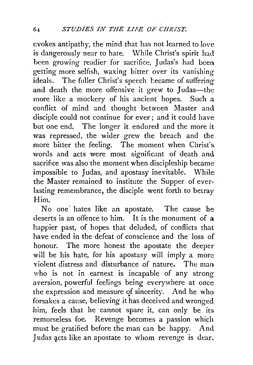evokes antipathy, the mind that has not learned to love is dangerously near to hate. While Christ's spirit had been growing readier for sacrifice, Judas's had been getting more selfish, waxing bitter over its vanishing ideals. The fuller Christ's speech became of suffering and death the more offensive it grew to Judas-the more like a mockery of his ancient hopes. Such a conflict of mind and thought between Master and disciple could not continue for ever; and it could have but one end. The longer it endured and the more it was repressed, the wider grew the breach and the more bitter the feeling. The moment when Christ's words and acts were most significant of death and sacrifice was also the moment when discipleship became impossible to Judas, and apostasy inevitable. While the Master remained to institute the Supper of everlasting remembrance, the disciple went forth to betray Him.

No one hates like an apostate. The cause he deserts is an offence to him. It is the monument of a happier past, of hopes that deluded, of conflicts that have ended in the defeat of conscience and the loss of honour. The more honest the apostate the deeper will be his hate, for his apostasy will imply a more violent distress and disturbance of nature. The man who is not in earnest is incapable of any strong aversion, powerful feelings being everywhere at once the expression and measure qf sincerity. And he who forsakes a cause, believing it has deceived and wronged him, feels that he cannot spare it, can only be its remorseless foe. Revenge becomes a passion which must be gratified before the man can be happy. And Judas acts like an apostate to whom revenge is dear.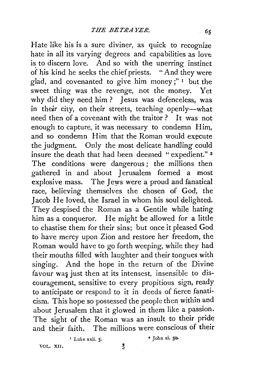Hate like his is a sure diviner, as quick *to* recognize hate in all its varying degrees and capabilities as love is to discern love. And so with the unerring instinct of his kind he seeks the chief priests. "And they were glad, and covenanted to give him money;" 1 but the sweet thing was the revenge, not the money. Yet why did they need him? Jesus was defenceless, was in their city, on their streets, teaching openly—what need then of a covenant with the traitor? It was not enough to capture, it was necessary to condemn Him, and so condemn Him that the Roman would execute the judgment. Only the most delicate handling could insure the death that had been deemed " expedient." 2 The conditions were dangerous; the millions then gathered in and about Jerusalem formed a most · explosive mass. The Jews were a proud and fanatical race, believing themselves the chosen of God, the Jacob He loved, the Israel in whom his soul delighted. They despised the Roman as a Gentile while hating him as a conqueror. He might be allowed for a little to chastise them for their sins; but once it pleased God to have mercy upon Zion and restore her freedom, the Roman would have to go forth weeping, while they had their mouths filled with laughter and their tongues with singing. And the hope in the return of the Divine favour was just then at its intensest, insensible to discouragement, sensitive to every propitious sign, ready to anticipate or respond to it in deeds of fierce fanaticism. This hope so possessed the people then within and about Jerusalem that it glowed in them like a passion. The sight of the Roman was an insult to their pride and their faith. The millions were conscious of their

' Luke xxii. 5· • John xi. 50.

VOL. XII.

 $\mathbf{\hat{5}}$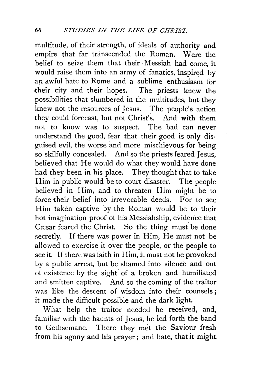multitude, of their strength, of ideals of authority and empire that far transcended the Roman. Were the belief to seize them that their Messiah had come, it would raise them into an army of fanatics, inspired by an awful hate to Rome and a sublime enthusiasm for their city and their hopes. The priests knew the possibilities that slumbered in the multitudes, but they knew not the resources of Jesus. The people's action they could forecast, but not Christ's. And with them not to know was to suspect. The bad can never understand the good, fear that their good is only disguised evil, the worse and more mischievous for being so skilfully concealed. And so the priests feared Jesus, believed that He would do what they would have done had they been in his place. They thought that to take Him in public would be to court disaster. The people believed in Him, and to threaten Him might be to force their belief into irrevocable deeds. For to see Him taken captive by the Roman would 'be to their hot imagination proof of his Messiahship, evidence that Cæsar feared the Christ. So the thing must be done secretly. If there was power in Him, He must not be allowed to exercise it over the people, or the people to see it. If there was faith in Him, it must not be provoked by a public arrest, but be shamed into silence and out of existence by the sight of a broken and humiliated and smitten captive. And so the coming of the traitor was like the descent of wisdom into their counsels; it made the difficult possible and the dark light.

What help the traitor needed he received, and, familiar with the haunts of Jesus, he led forth the band to Gethsemane. There they met the Saviour fresh from his agony and his prayer; and hate, that it might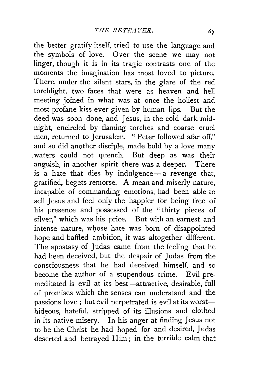the better gratify itself, tried to use the language and the symbols of love. Over the scene we may not linger, though it is in its tragic contrasts one of the moments the imagination has most loved to picture. There, under the silent stars, in the glare of the red torchlight, two faces that were as heaven and hell meeting joined in what was at once the holiest and most profane kiss ever given by human lips. But the deed was soon done, and Jesus, in the cold dark midnight, encircled by flaming torches and coarse cruel men, returned to Jerusalem. " Peter followed afar off," and so did another disciple, made bold by a love many waters could not quench. But deep as was their anguish, in another spirit there was a deeper. There is a hate that dies by indulgence-a revenge that, gratified, begets remorse. A mean and miserly nature, incapable of commanding emotions, had been able to sell Jesus and feel only the happier for being free of his presence and possessed of the " thirty pieces of silver," which was his price. But with an earnest and intense nature, whose hate was born of disappointed hope and baffled ambition, it was altogether different. The apostasy of Judas came from the feeling that he had been deceived, but the despair of Judas from the consciousness that he had deceived himself, and so become the author of a stupendous crime; Evil premeditated is evil at its best-attractive, desirable, full of promises which the senses can understand and the passions love; but evil perpetrated is evil at its worsthideous, hateful, stripped of its illusions and clothed in its native misery. In his anger at finding Jesus not to be the Christ he had hoped for and desired, Judas deserted and betrayed Him; in the terrible calm that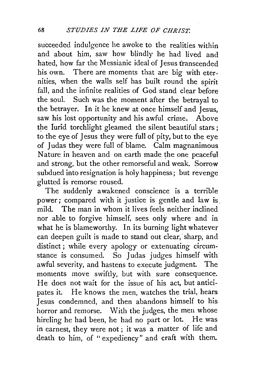succeeded indulgence he awoke to the realities within and about him, saw how blindly he had lived and hated, how far the Messianic ideal of Jesus franscended his own. There are moments that are big with eternities, when the walls self has built round the spirit fall, and the infinite realities of God stand clear before the soul. Such was the moment after the betrayal to the betrayer. In it he knew at once himself and Jesus, saw his lost opportunity and his awful crime. Above the lurid torchlight gleamed the silent beautiful stars; to the eye of Jesus they were full of pity, but to the eye of Judas they were full of blame. Calm magnanimous Nature in heaven and on earth made the one peaceful and strong, but the other remorseful and weak. Sorrow subdued into resignation is holy happiness; but revenge glutted is remorse roused.

The suddenly awakened conscience is a terrible power; compared with it justice is gentle and law is. mild. The man in whom it lives feels neither inclined nor able to forgive himself, sees only where and in what he is blameworthy. In its burning light whatever can deepen guilt is made to stand out clear, sharp, and distinct; while every apology or extenuating circumstance is consumed. So Judas judges himself with awful severity, and hastens to execute judgment. The moments move swiftly, but with sure consequence. He does not wait for the issue of his act, but anticipates it. He knows the men, watches the trial, hears Jesus condemned, and then abandons himself to his horror and remorse. With the judges, the men whose hireling he had been, he had no part or lot. He was in earnest, they were not ; it was a matter of life and death to him, of "expediency" and craft with them.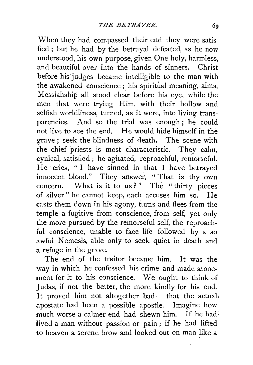When they had compassed their end they were satisfied; but he had by the betrayal defeated, as he now understood, his own purpose, given One holy, harmless, and beautiful over into the hands of sinners. Christ before his judges became intelligible to the man with the awakened conscience; his spiritual meaning, aims, Messiahship all stood clear before his eye, while the men that were trying Him, with their hollow and selfish worldliness, turned, as it were, into living transparencies. And so the trial was enough; he could not live to see the end. He would hide himself in the grave; seek the blindness of death. The scene with the chief priests is most characteristic. They calm, cynical, satisfied ; he agitated, reproachful, remorseful. He cries, " I have sinned in that I have betrayed innocent blood." They answer, " That is thy own concern. What is it to us?" The "thirty pieces of silver" he cannot keep, each accuses him so. He casts them down in his agony, turns and flees from the temple a fugitive from conscience, from self, yet only the more pursued by the remorseful self, the reproachful conscience, unable to face life followed by a so awful Nemesis, able only to seek quiet in death and a refuge in the grave.

The end of the traitor became him. It was the way in which he confessed his crime and made atonement for it to his conscience. We ought to think of Judas, if not the better, the more kindly for his end. It proved him not altogether bad - that the actual apostate had been a possible apostle. Imagine how much worse a calmer end had shewn him. If he had lived a man without passion or pain ; if he had lifted to heaven a serene brow and looked out on man like a